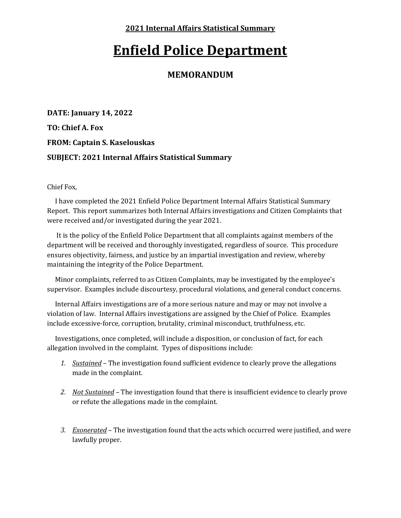**2021 Internal Affairs Statistical Summary**

## **Enfield Police Department**

## **MEMORANDUM**

**DATE: January 14, 2022 TO: Chief A. Fox FROM: Captain S. Kaselouskas SUBJECT: 2021 Internal Affairs Statistical Summary**

Chief Fox,

 I have completed the 2021 Enfield Police Department Internal Affairs Statistical Summary Report. This report summarizes both Internal Affairs investigations and Citizen Complaints that were received and/or investigated during the year 2021.

 It is the policy of the Enfield Police Department that all complaints against members of the department will be received and thoroughly investigated, regardless of source. This procedure ensures objectivity, fairness, and justice by an impartial investigation and review, whereby maintaining the integrity of the Police Department.

 Minor complaints, referred to as Citizen Complaints, may be investigated by the employee's supervisor. Examples include discourtesy, procedural violations, and general conduct concerns.

 Internal Affairs investigations are of a more serious nature and may or may not involve a violation of law. Internal Affairs investigations are assigned by the Chief of Police. Examples include excessive-force, corruption, brutality, criminal misconduct, truthfulness, etc.

 Investigations, once completed, will include a disposition, or conclusion of fact, for each allegation involved in the complaint. Types of dispositions include:

- *1. Sustained* The investigation found sufficient evidence to clearly prove the allegations made in the complaint.
- *2. Not Sustained* The investigation found that there is insufficient evidence to clearly prove or refute the allegations made in the complaint.
- *3. Exonerated* The investigation found that the acts which occurred were justified, and were lawfully proper.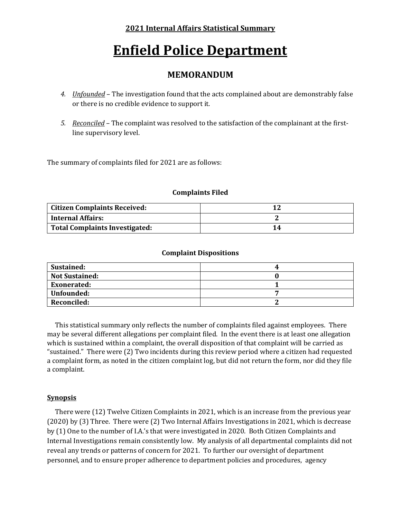### **2021 Internal Affairs Statistical Summary**

# **Enfield Police Department**

## **MEMORANDUM**

- *4. Unfounded* The investigation found that the acts complained about are demonstrably false or there is no credible evidence to support it.
- *5. Reconciled* The complaint was resolved to the satisfaction of the complainant at the firstline supervisory level.

The summary of complaints filed for 2021 are as follows:

#### **Complaints Filed**

| <b>Citizen Complaints Received:</b>         |    |
|---------------------------------------------|----|
| <b>Internal Affairs:</b>                    |    |
| <sup>1</sup> Total Complaints Investigated: | L4 |

#### **Complaint Dispositions**

| Sustained:            |  |
|-----------------------|--|
| <b>Not Sustained:</b> |  |
| <b>Exonerated:</b>    |  |
| Unfounded:            |  |
| <b>Reconciled:</b>    |  |

This statistical summary only reflects the number of complaints filed against employees. There may be several different allegations per complaint filed. In the event there is at least one allegation which is sustained within a complaint, the overall disposition of that complaint will be carried as "sustained." There were (2) Two incidents during this review period where a citizen had requested a complaint form, as noted in the citizen complaint log, but did not return the form, nor did they file a complaint.

#### **Synopsis**

 There were (12) Twelve Citizen Complaints in 2021, which is an increase from the previous year (2020) by (3) Three. There were (2) Two Internal Affairs Investigations in 2021, which is decrease by (1) One to the number of I.A.'s that were investigated in 2020. Both Citizen Complaints and Internal Investigations remain consistently low. My analysis of all departmental complaints did not reveal any trends or patterns of concern for 2021. To further our oversight of department personnel, and to ensure proper adherence to department policies and procedures, agency